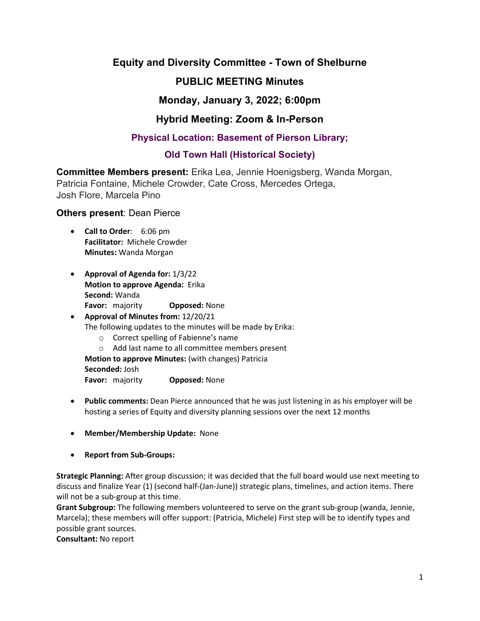## **Equity and Diversity Committee - Town of Shelburne**

# **PUBLIC MEETING Minutes**

## **Monday, January 3, 2022; 6:00pm**

## **Hybrid Meeting: Zoom & In-Person**

## **Physical Location: Basement of Pierson Library;**

## **Old Town Hall (Historical Society)**

**Committee Members present:** Erika Lea, Jennie Hoenigsberg, Wanda Morgan, Patricia Fontaine, Michele Crowder, Cate Cross, Mercedes Ortega, Josh Flore, Marcela Pino

#### **Others present**: Dean Pierce

- **Call to Order**: 6:06 pm **Facilitator:** Michele Crowder **Minutes:** Wanda Morgan
- **Approval of Agenda for:** 1/3/22 **Motion to approve Agenda:** Erika **Second:** Wanda **Favor:** majority **Opposed:** None

# • **Approval of Minutes from:** 12/20/21 The following updates to the minutes will be made by Erika:

- o Correct spelling of Fabienne's name
- o Add last name to all committee members present

**Motion to approve Minutes:** (with changes) Patricia

**Seconded:** Josh

**Favor:** majority **Opposed:** None

- **Public comments:** Dean Pierce announced that he was just listening in as his employer will be hosting a series of Equity and diversity planning sessions over the next 12 months
- **Member/Membership Update:** None
- **Report from Sub-Groups:**

**Strategic Planning:** After group discussion; it was decided that the full board would use next meeting to discuss and finalize Year (1) (second half-(Jan-June)) strategic plans, timelines, and action items. There will not be a sub-group at this time.

**Grant Subgroup:** The following members volunteered to serve on the grant sub-group (wanda, Jennie, Marcela); these members will offer support: (Patricia, Michele) First step will be to identify types and possible grant sources.

**Consultant:** No report